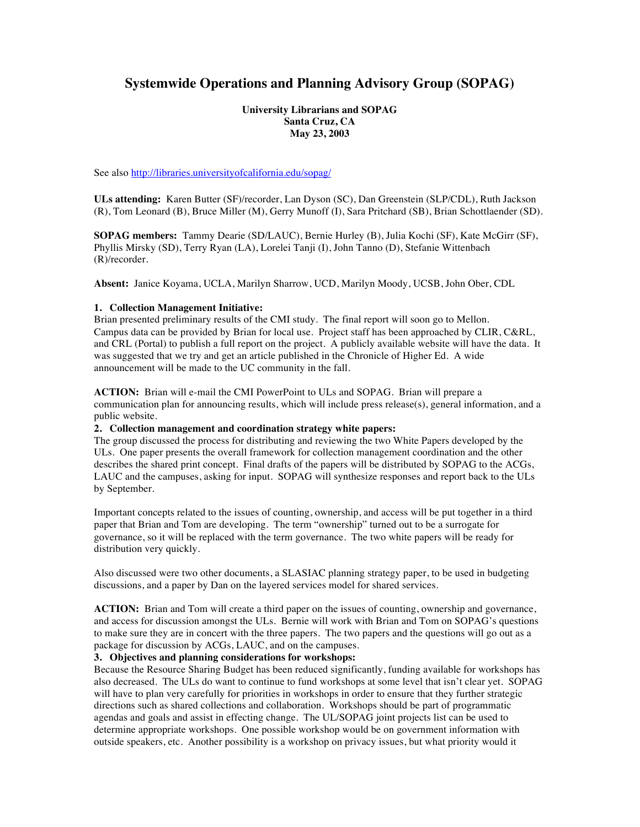# **Systemwide Operations and Planning Advisory Group (SOPAG)**

**University Librarians and SOPAG Santa Cruz, CA May 23, 2003**

See also http://libraries.universityofcalifornia.edu/sopag/

**ULs attending:** Karen Butter (SF)/recorder, Lan Dyson (SC), Dan Greenstein (SLP/CDL), Ruth Jackson (R), Tom Leonard (B), Bruce Miller (M), Gerry Munoff (I), Sara Pritchard (SB), Brian Schottlaender (SD).

**SOPAG members:** Tammy Dearie (SD/LAUC), Bernie Hurley (B), Julia Kochi (SF), Kate McGirr (SF), Phyllis Mirsky (SD), Terry Ryan (LA), Lorelei Tanji (I), John Tanno (D), Stefanie Wittenbach (R)/recorder.

**Absent:** Janice Koyama, UCLA, Marilyn Sharrow, UCD, Marilyn Moody, UCSB, John Ober, CDL

#### **1. Collection Management Initiative:**

Brian presented preliminary results of the CMI study. The final report will soon go to Mellon. Campus data can be provided by Brian for local use. Project staff has been approached by CLIR, C&RL, and CRL (Portal) to publish a full report on the project. A publicly available website will have the data. It was suggested that we try and get an article published in the Chronicle of Higher Ed. A wide announcement will be made to the UC community in the fall.

**ACTION:** Brian will e-mail the CMI PowerPoint to ULs and SOPAG. Brian will prepare a communication plan for announcing results, which will include press release(s), general information, and a public website.

#### **2. Collection management and coordination strategy white papers:**

The group discussed the process for distributing and reviewing the two White Papers developed by the ULs. One paper presents the overall framework for collection management coordination and the other describes the shared print concept. Final drafts of the papers will be distributed by SOPAG to the ACGs, LAUC and the campuses, asking for input. SOPAG will synthesize responses and report back to the ULs by September.

Important concepts related to the issues of counting, ownership, and access will be put together in a third paper that Brian and Tom are developing. The term "ownership" turned out to be a surrogate for governance, so it will be replaced with the term governance. The two white papers will be ready for distribution very quickly.

Also discussed were two other documents, a SLASIAC planning strategy paper, to be used in budgeting discussions, and a paper by Dan on the layered services model for shared services.

**ACTION:** Brian and Tom will create a third paper on the issues of counting, ownership and governance, and access for discussion amongst the ULs. Bernie will work with Brian and Tom on SOPAG's questions to make sure they are in concert with the three papers. The two papers and the questions will go out as a package for discussion by ACGs, LAUC, and on the campuses.

#### **3. Objectives and planning considerations for workshops:**

Because the Resource Sharing Budget has been reduced significantly, funding available for workshops has also decreased. The ULs do want to continue to fund workshops at some level that isn't clear yet. SOPAG will have to plan very carefully for priorities in workshops in order to ensure that they further strategic directions such as shared collections and collaboration. Workshops should be part of programmatic agendas and goals and assist in effecting change. The UL/SOPAG joint projects list can be used to determine appropriate workshops. One possible workshop would be on government information with outside speakers, etc. Another possibility is a workshop on privacy issues, but what priority would it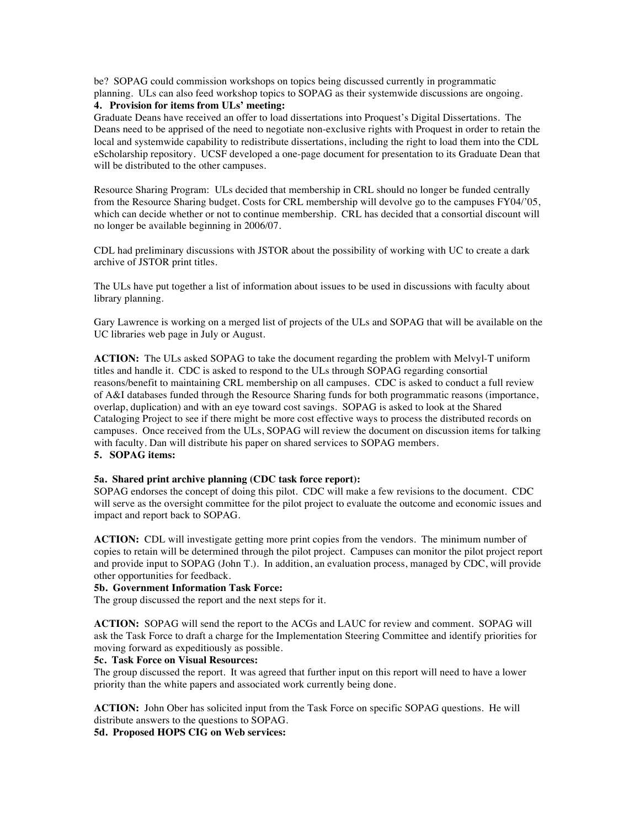be? SOPAG could commission workshops on topics being discussed currently in programmatic planning. ULs can also feed workshop topics to SOPAG as their systemwide discussions are ongoing.

# **4. Provision for items from ULs' meeting:**

Graduate Deans have received an offer to load dissertations into Proquest's Digital Dissertations. The Deans need to be apprised of the need to negotiate non-exclusive rights with Proquest in order to retain the local and systemwide capability to redistribute dissertations, including the right to load them into the CDL eScholarship repository. UCSF developed a one-page document for presentation to its Graduate Dean that will be distributed to the other campuses.

Resource Sharing Program: ULs decided that membership in CRL should no longer be funded centrally from the Resource Sharing budget. Costs for CRL membership will devolve go to the campuses FY04/'05, which can decide whether or not to continue membership. CRL has decided that a consortial discount will no longer be available beginning in 2006/07.

CDL had preliminary discussions with JSTOR about the possibility of working with UC to create a dark archive of JSTOR print titles.

The ULs have put together a list of information about issues to be used in discussions with faculty about library planning.

Gary Lawrence is working on a merged list of projects of the ULs and SOPAG that will be available on the UC libraries web page in July or August.

**ACTION:** The ULs asked SOPAG to take the document regarding the problem with Melvyl-T uniform titles and handle it. CDC is asked to respond to the ULs through SOPAG regarding consortial reasons/benefit to maintaining CRL membership on all campuses. CDC is asked to conduct a full review of A&I databases funded through the Resource Sharing funds for both programmatic reasons (importance, overlap, duplication) and with an eye toward cost savings. SOPAG is asked to look at the Shared Cataloging Project to see if there might be more cost effective ways to process the distributed records on campuses. Once received from the ULs, SOPAG will review the document on discussion items for talking with faculty. Dan will distribute his paper on shared services to SOPAG members. **5. SOPAG items:**

#### **5a. Shared print archive planning (CDC task force report):**

SOPAG endorses the concept of doing this pilot. CDC will make a few revisions to the document. CDC will serve as the oversight committee for the pilot project to evaluate the outcome and economic issues and impact and report back to SOPAG.

**ACTION:** CDL will investigate getting more print copies from the vendors. The minimum number of copies to retain will be determined through the pilot project. Campuses can monitor the pilot project report and provide input to SOPAG (John T.). In addition, an evaluation process, managed by CDC, will provide other opportunities for feedback.

#### **5b. Government Information Task Force:**

The group discussed the report and the next steps for it.

**ACTION:** SOPAG will send the report to the ACGs and LAUC for review and comment. SOPAG will ask the Task Force to draft a charge for the Implementation Steering Committee and identify priorities for moving forward as expeditiously as possible.

## **5c. Task Force on Visual Resources:**

The group discussed the report. It was agreed that further input on this report will need to have a lower priority than the white papers and associated work currently being done.

**ACTION:** John Ober has solicited input from the Task Force on specific SOPAG questions. He will distribute answers to the questions to SOPAG.

**5d. Proposed HOPS CIG on Web services:**